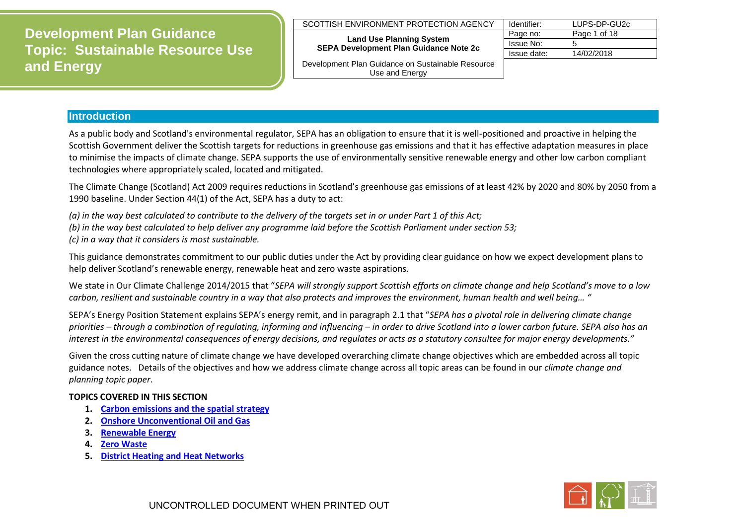## SCOTTISH ENVIRONMENT PROTECTION AGENCY

#### **Land Use Planning System SEPA Development Plan Guidance Note 2c**

| Development Plan Guidance on Sustainable Resource |  |
|---------------------------------------------------|--|
| Use and Energy                                    |  |

| Identifier: | LUPS-DP-GU2c |
|-------------|--------------|
| Page no:    | Page 1 of 18 |
| Issue No:   | 5            |
| Issue date: | 14/02/2018   |
|             |              |

## **Introduction**

As a public body and Scotland's environmental regulator, SEPA has an obligation to ensure that it is well-positioned and proactive in helping the Scottish Government deliver the Scottish targets for reductions in greenhouse gas emissions and that it has effective adaptation measures in place to minimise the impacts of climate change. SEPA supports the use of environmentally sensitive renewable energy and other low carbon compliant technologies where appropriately scaled, located and mitigated.

The Climate Change (Scotland) Act 2009 requires reductions in Scotland's greenhouse gas emissions of at least 42% by 2020 and 80% by 2050 from a 1990 baseline. Under Section 44(1) of the Act, SEPA has a duty to act:

*(a) in the way best calculated to contribute to the delivery of the targets set in or under Part 1 of this Act;*

*(b) in the way best calculated to help deliver any programme laid before the Scottish Parliament under section 53;*

*(c) in a way that it considers is most sustainable.*

This guidance demonstrates commitment to our public duties under the Act by providing clear guidance on how we expect development plans to help deliver Scotland's renewable energy, renewable heat and zero waste aspirations.

We state in Our Climate Challenge 2014/2015 that "*SEPA will strongly support Scottish efforts on climate change and help Scotland's move to a low carbon, resilient and sustainable country in a way that also protects and improves the environment, human health and well being… "*

SEPA's Energy Position Statement explains SEPA's energy remit, and in paragraph 2.1 that "*SEPA has a pivotal role in delivering climate change priorities – through a combination of regulating, informing and influencing – in order to drive Scotland into a lower carbon future. SEPA also has an interest in the environmental consequences of energy decisions, and regulates or acts as a statutory consultee for major energy developments."* 

Given the cross cutting nature of climate change we have developed overarching climate change objectives which are embedded across all topic guidance notes. Details of the objectives and how we address climate change across all topic areas can be found in our *climate change and planning topic paper*.

## **TOPICS COVERED IN THIS SECTION**

- **1. [Carbon emissions and the spatial strategy](#page-1-0)**
- **2. [Onshore Unconventional Oil and Gas](#page-3-0)**
- **3. [Renewable Energy](#page-4-0)**
- **4. [Zero Waste](#page-7-0)**
- **5. [District Heating and Heat Networks](#page-13-0)**

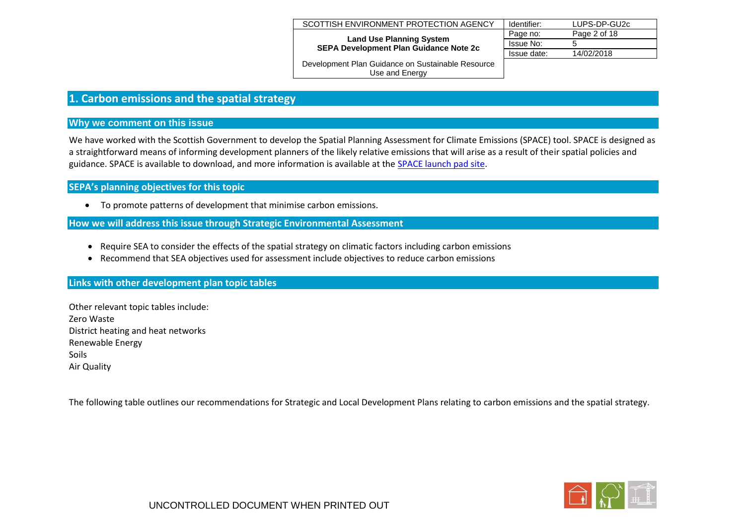| SCOTTISH ENVIRONMENT PROTECTION AGENCY                                           | Identifier: | LUPS-DP-GU2c |
|----------------------------------------------------------------------------------|-------------|--------------|
|                                                                                  | Page no:    | Page 2 of 18 |
| <b>Land Use Planning System</b><br><b>SEPA Development Plan Guidance Note 2c</b> | Issue No:   |              |
|                                                                                  | Issue date: | 14/02/2018   |
| Douglasmant Dlas Cuidanas an Cuatainable Desource                                |             |              |

## <span id="page-1-0"></span>**1. Carbon emissions and the spatial strategy**

## **Why we comment on this issue**

We have worked with the Scottish Government to develop the Spatial Planning Assessment for Climate Emissions (SPACE) tool. SPACE is designed as a straightforward means of informing development planners of the likely relative emissions that will arise as a result of their spatial policies and guidance. SPACE is available to download, and more information is available at the [SPACE launch pad site.](http://www.scotland.gov.uk/Topics/Built-Environment/planning/Policy/Principal-Policies/Sustainability/SPACE)

**SEPA's planning objectives for this topic** 

To promote patterns of development that minimise carbon emissions.

**How we will address this issue through Strategic Environmental Assessment**

- Require SEA to consider the effects of the spatial strategy on climatic factors including carbon emissions
- Recommend that SEA objectives used for assessment include objectives to reduce carbon emissions

## **Links with other development plan topic tables**

Other relevant topic tables include: Zero Waste District heating and heat networks Renewable Energy Soils Air Quality

The following table outlines our recommendations for Strategic and Local Development Plans relating to carbon emissions and the spatial strategy.

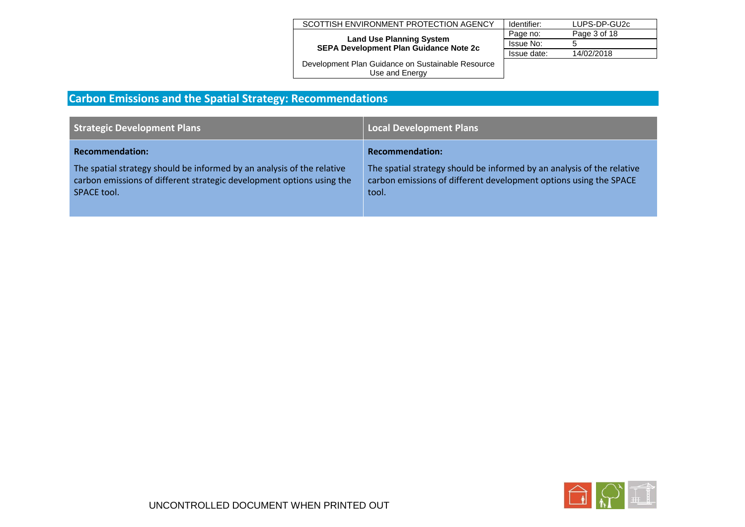| SCOTTISH ENVIRONMENT PROTECTION AGENCY                                           | Identifier: | LUPS-DP-GU2c |
|----------------------------------------------------------------------------------|-------------|--------------|
|                                                                                  | Page no:    | Page 3 of 18 |
| <b>Land Use Planning System</b><br><b>SEPA Development Plan Guidance Note 2c</b> | Issue No:   | 5            |
|                                                                                  | Issue date: | 14/02/2018   |
| Development Plan Guidance on Sustainable Resource                                |             |              |

# **Carbon Emissions and the Spatial Strategy: Recommendations**

| <b>Strategic Development Plans</b>                                                                                                                             | <b>Local Development Plans</b>                                                                                                                       |
|----------------------------------------------------------------------------------------------------------------------------------------------------------------|------------------------------------------------------------------------------------------------------------------------------------------------------|
| <b>Recommendation:</b>                                                                                                                                         | <b>Recommendation:</b>                                                                                                                               |
| The spatial strategy should be informed by an analysis of the relative<br>carbon emissions of different strategic development options using the<br>SPACE tool. | The spatial strategy should be informed by an analysis of the relative<br>carbon emissions of different development options using the SPACE<br>tool. |

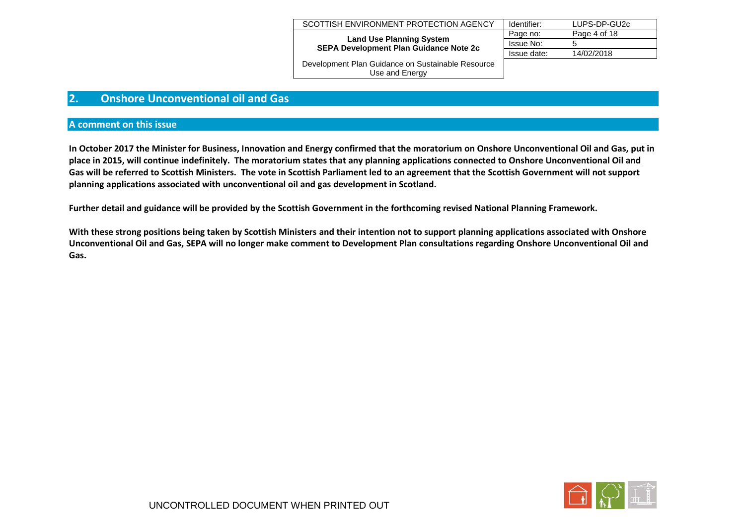| SCOTTISH ENVIRONMENT PROTECTION AGENCY                                           | Identifier: | LUPS-DP-GU2c |
|----------------------------------------------------------------------------------|-------------|--------------|
|                                                                                  | Page no:    | Page 4 of 18 |
| <b>Land Use Planning System</b><br><b>SEPA Development Plan Guidance Note 2c</b> | Issue No:   | 5            |
|                                                                                  | Issue date: | 14/02/2018   |
| Development Plan Guidance on Sustainable Resource                                |             |              |

an Guidance on Sustainable Resource Use and Energy

## <span id="page-3-0"></span>**2. Onshore Unconventional oil and Gas**

#### **A comment on this issue**

**In October 2017 the Minister for Business, Innovation and Energy confirmed that the moratorium on Onshore Unconventional Oil and Gas, put in place in 2015, will continue indefinitely. The moratorium states that any planning applications connected to Onshore Unconventional Oil and Gas will be referred to Scottish Ministers. The vote in Scottish Parliament led to an agreement that the Scottish Government will not support planning applications associated with unconventional oil and gas development in Scotland.** 

**Further detail and guidance will be provided by the Scottish Government in the forthcoming revised National Planning Framework.**

**With these strong positions being taken by Scottish Ministers and their intention not to support planning applications associated with Onshore Unconventional Oil and Gas, SEPA will no longer make comment to Development Plan consultations regarding Onshore Unconventional Oil and Gas.** 

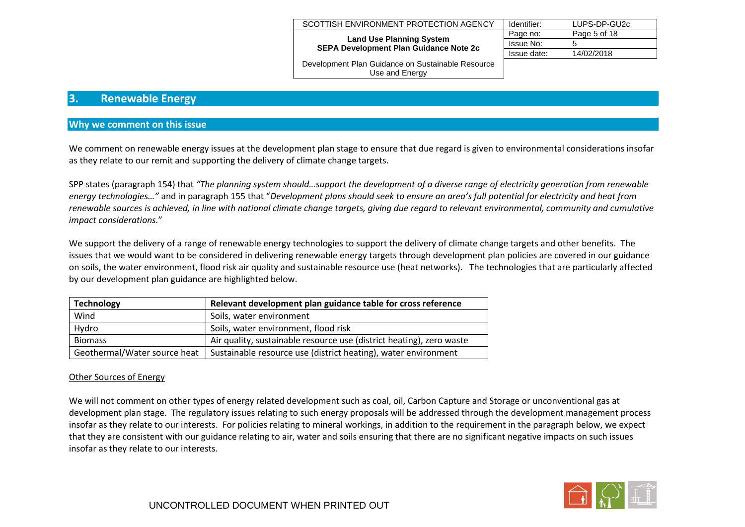| SCOTTISH ENVIRONMENT PROTECTION AGENCY                                           | Identifier: | LUPS-DP-GU2c |
|----------------------------------------------------------------------------------|-------------|--------------|
|                                                                                  | Page no:    | Page 5 of 18 |
| <b>Land Use Planning System</b><br><b>SEPA Development Plan Guidance Note 2c</b> | Issue No:   |              |
|                                                                                  | Issue date: | 14/02/2018   |
| Development Plan Guidance on Sustainable Resource                                |             |              |

Use and Energy

## <span id="page-4-0"></span>**3. Renewable Energy**

## **Why we comment on this issue**

We comment on renewable energy issues at the development plan stage to ensure that due regard is given to environmental considerations insofar as they relate to our remit and supporting the delivery of climate change targets.

SPP states (paragraph 154) that *"The planning system should…support the development of a diverse range of electricity generation from renewable energy technologies…"* and in paragraph 155 that "*Development plans should seek to ensure an area's full potential for electricity and heat from renewable sources is achieved, in line with national climate change targets, giving due regard to relevant environmental, community and cumulative impact considerations.*"

We support the delivery of a range of renewable energy technologies to support the delivery of climate change targets and other benefits. The issues that we would want to be considered in delivering renewable energy targets through development plan policies are covered in our guidance on soils, the water environment, flood risk air quality and sustainable resource use (heat networks). The technologies that are particularly affected by our development plan guidance are highlighted below.

| <b>Technology</b>            | Relevant development plan guidance table for cross reference         |
|------------------------------|----------------------------------------------------------------------|
| Wind                         | Soils, water environment                                             |
| Hydro                        | Soils, water environment, flood risk                                 |
| <b>Biomass</b>               | Air quality, sustainable resource use (district heating), zero waste |
| Geothermal/Water source heat | Sustainable resource use (district heating), water environment       |

## Other Sources of Energy

We will not comment on other types of energy related development such as coal, oil, Carbon Capture and Storage or unconventional gas at development plan stage. The regulatory issues relating to such energy proposals will be addressed through the development management process insofar as they relate to our interests. For policies relating to mineral workings, in addition to the requirement in the paragraph below, we expect that they are consistent with our guidance relating to air, water and soils ensuring that there are no significant negative impacts on such issues insofar as they relate to our interests.

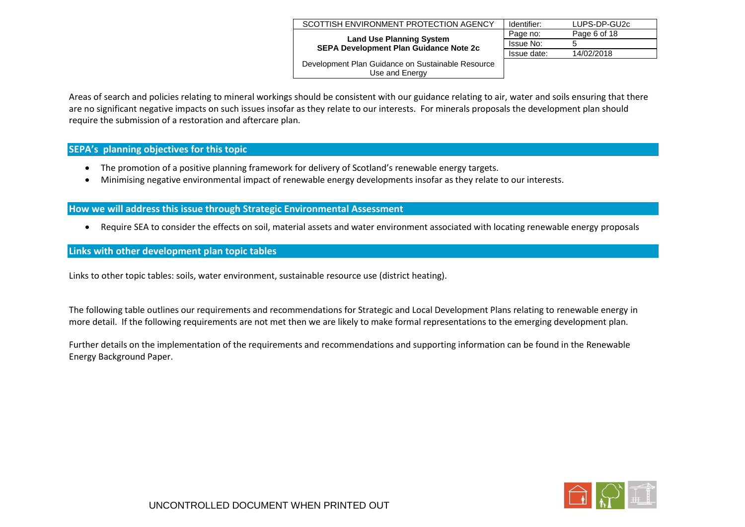| SCOTTISH ENVIRONMENT PROTECTION AGENCY            | Identifier:      | LUPS-DP-GU2c |
|---------------------------------------------------|------------------|--------------|
| <b>Land Use Planning System</b>                   | Page no:         | Page 6 of 18 |
| <b>SEPA Development Plan Guidance Note 2c</b>     | <b>Issue No:</b> |              |
|                                                   | Issue date:      | 14/02/2018   |
| Development Plan Guidance on Sustainable Resource |                  |              |
| Use and Energy                                    |                  |              |

Areas of search and policies relating to mineral workings should be consistent with our guidance relating to air, water and soils ensuring that there are no significant negative impacts on such issues insofar as they relate to our interests. For minerals proposals the development plan should require the submission of a restoration and aftercare plan.

## **SEPA's planning objectives for this topic**

- The promotion of a positive planning framework for delivery of Scotland's renewable energy targets.
- Minimising negative environmental impact of renewable energy developments insofar as they relate to our interests.

## **How we will address this issue through Strategic Environmental Assessment**

Require SEA to consider the effects on soil, material assets and water environment associated with locating renewable energy proposals

## **Links with other development plan topic tables**

Links to other topic tables: soils, water environment, sustainable resource use (district heating).

The following table outlines our requirements and recommendations for Strategic and Local Development Plans relating to renewable energy in more detail. If the following requirements are not met then we are likely to make formal representations to the emerging development plan.

Further details on the implementation of the requirements and recommendations and supporting information can be found in the Renewable Energy Background Paper.

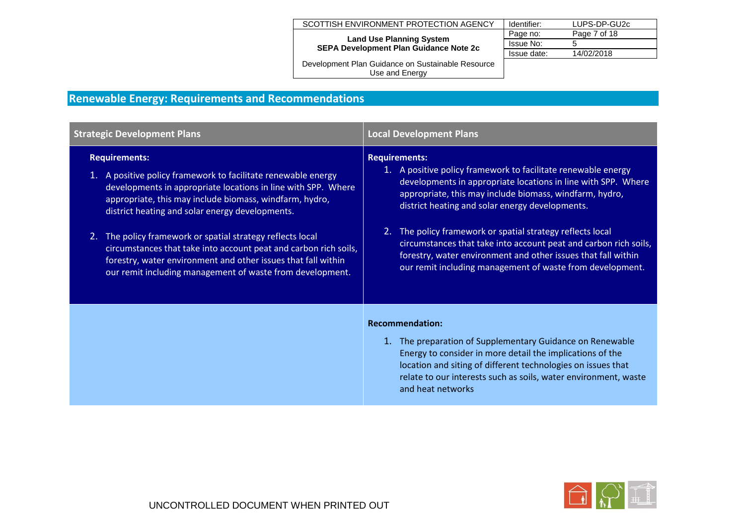#### SCOTTISH ENVIRONMENT PROTECTION AGENCY

**Land Use Planning System SEPA Development Plan Guidance Note 2c**

| Identifier: | LUPS-DP-GU2c |
|-------------|--------------|
| Page no:    | Page 7 of 18 |
| Issue No:   | ٠h           |
| Issue date: | 14/02/2018   |
|             |              |

Development Plan Guidance on Sustainable Resource Use and Energy

# **Renewable Energy: Requirements and Recommendations**

| <b>Strategic Development Plans</b>                                                                                                                                                                                                                                                                                                                                                                                                                                                                                                      | <b>Local Development Plans</b>                                                                                                                                                                                                                                                                                                                                                                                                                                                                                                       |
|-----------------------------------------------------------------------------------------------------------------------------------------------------------------------------------------------------------------------------------------------------------------------------------------------------------------------------------------------------------------------------------------------------------------------------------------------------------------------------------------------------------------------------------------|--------------------------------------------------------------------------------------------------------------------------------------------------------------------------------------------------------------------------------------------------------------------------------------------------------------------------------------------------------------------------------------------------------------------------------------------------------------------------------------------------------------------------------------|
| <b>Requirements:</b><br>1. A positive policy framework to facilitate renewable energy<br>developments in appropriate locations in line with SPP. Where<br>appropriate, this may include biomass, windfarm, hydro,<br>district heating and solar energy developments.<br>The policy framework or spatial strategy reflects local<br>2.<br>circumstances that take into account peat and carbon rich soils,<br>forestry, water environment and other issues that fall within<br>our remit including management of waste from development. | <b>Requirements:</b><br>1. A positive policy framework to facilitate renewable energy<br>developments in appropriate locations in line with SPP. Where<br>appropriate, this may include biomass, windfarm, hydro,<br>district heating and solar energy developments.<br>2. The policy framework or spatial strategy reflects local<br>circumstances that take into account peat and carbon rich soils,<br>forestry, water environment and other issues that fall within<br>our remit including management of waste from development. |
|                                                                                                                                                                                                                                                                                                                                                                                                                                                                                                                                         | <b>Recommendation:</b><br>1. The preparation of Supplementary Guidance on Renewable<br>Energy to consider in more detail the implications of the<br>location and siting of different technologies on issues that<br>relate to our interests such as soils, water environment, waste<br>and heat networks                                                                                                                                                                                                                             |

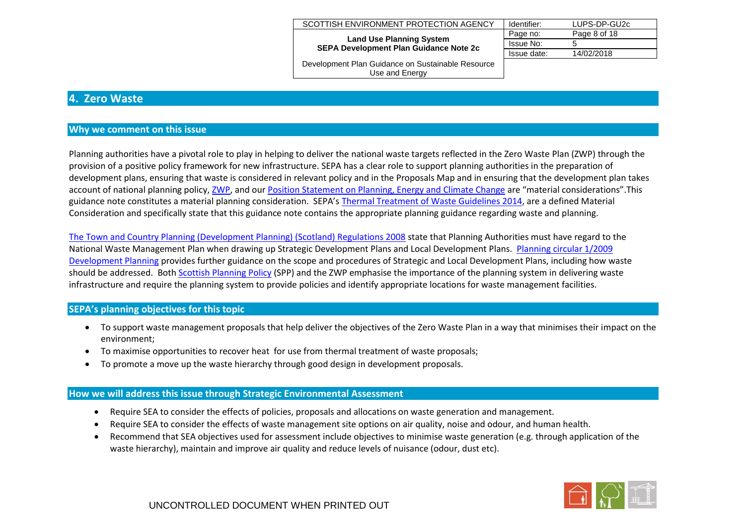| SCOTTISH ENVIRONMENT PROTECTION AGENCY                                           | Identifier: | LUPS-DP-GU2c |
|----------------------------------------------------------------------------------|-------------|--------------|
|                                                                                  | Page no:    | Page 8 of 18 |
| <b>Land Use Planning System</b><br><b>SEPA Development Plan Guidance Note 2c</b> | Issue No:   | 5            |
|                                                                                  | Issue date: | 14/02/2018   |
| Development Plan Guidance on Sustainable Resource                                |             |              |

## <span id="page-7-0"></span>**4. Zero Waste**

## **Why we comment on this issue**

Planning authorities have a pivotal role to play in helping to deliver the national waste targets reflected in the Zero Waste Plan (ZWP) through the provision of a positive policy framework for new infrastructure. SEPA has a clear role to support planning authorities in the preparation of development plans, ensuring that waste is considered in relevant policy and in the Proposals Map and in ensuring that the development plan takes account of national planning policy[, ZWP,](http://www.scotland.gov.uk/Topics/Environment/waste-and-pollution/Waste-1/wastestrategy) and ou[r Position Statement on Planning, Energy and Climate Change](http://www.sepa.org.uk/idoc.ashx?docid=d8d04aac-d2c2-4043-9704-3bd3236c7f04&version=-1) are "material considerations". This guidance note constitutes a material planning consideration. SEPA's [Thermal Treatment of Waste Guidelines 2014,](http://www.sepa.org.uk/waste/waste_regulation/idoc.ashx?docid=b61dc32b-f2e8-4f65-b237-8e67c5194f08&version=-1) are a defined Material Consideration and specifically state that this guidance note contains the appropriate planning guidance regarding waste and planning.

Use and Energy

[The Town and Country Planning \(Development Planning\) \(Scotland\) Regulations 2008](http://www.opsi.gov.uk/legislation/scotland/ssi2008/ssi_20080426_en_1) state that Planning Authorities must have regard to the National Waste Management Plan when drawing up Strategic Development Plans and Local Development Plans. [Planning circular 1/2009](http://www.scotland.gov.uk/Publications/2009/02/13153723/0)  [Development Planning](http://www.scotland.gov.uk/Publications/2009/02/13153723/0) provides further guidance on the scope and procedures of Strategic and Local Development Plans, including how waste should be addressed. Bot[h Scottish Planning Policy](http://www.scotland.gov.uk/Publications/2010/02/03132605/0) (SPP) and the ZWP emphasise the importance of the planning system in delivering waste infrastructure and require the planning system to provide policies and identify appropriate locations for waste management facilities.

## **SEPA's planning objectives for this topic**

- To support waste management proposals that help deliver the objectives of the Zero Waste Plan in a way that minimises their impact on the environment;
- To maximise opportunities to recover heat for use from thermal treatment of waste proposals;
- To promote a move up the waste hierarchy through good design in development proposals.

## **How we will address this issue through Strategic Environmental Assessment**

- Require SEA to consider the effects of policies, proposals and allocations on waste generation and management.
- Require SEA to consider the effects of waste management site options on air quality, noise and odour, and human health.
- Recommend that SEA objectives used for assessment include objectives to minimise waste generation (e.g. through application of the waste hierarchy), maintain and improve air quality and reduce levels of nuisance (odour, dust etc).

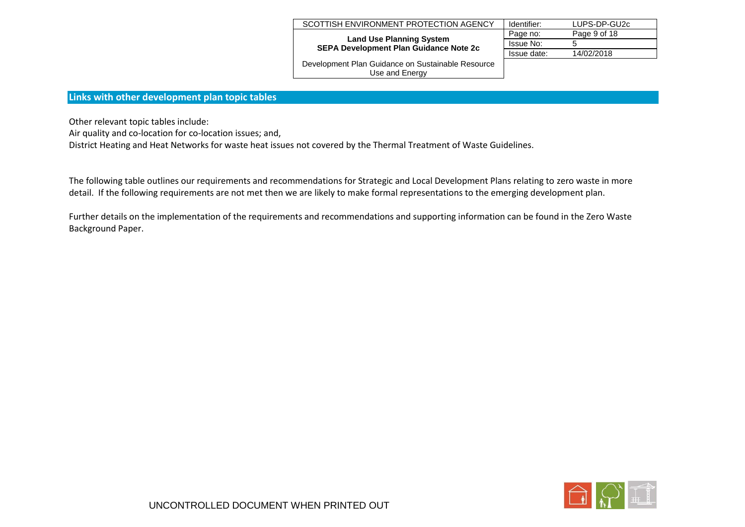| SCOTTISH ENVIRONMENT PROTECTION AGENCY                                           | Identifier: | LUPS-DP-GU2c |
|----------------------------------------------------------------------------------|-------------|--------------|
| <b>Land Use Planning System</b><br><b>SEPA Development Plan Guidance Note 2c</b> | Page no:    | Page 9 of 18 |
|                                                                                  | Issue No:   |              |
|                                                                                  | Issue date: | 14/02/2018   |
| Development Plan Cuidance on Sustainable Pesquree                                |             |              |

## **Links with other development plan topic tables**

Other relevant topic tables include:

Air quality and co-location for co-location issues; and,

District Heating and Heat Networks for waste heat issues not covered by the Thermal Treatment of Waste Guidelines.

The following table outlines our requirements and recommendations for Strategic and Local Development Plans relating to zero waste in more detail. If the following requirements are not met then we are likely to make formal representations to the emerging development plan.

Further details on the implementation of the requirements and recommendations and supporting information can be found in the Zero Waste Background Paper.

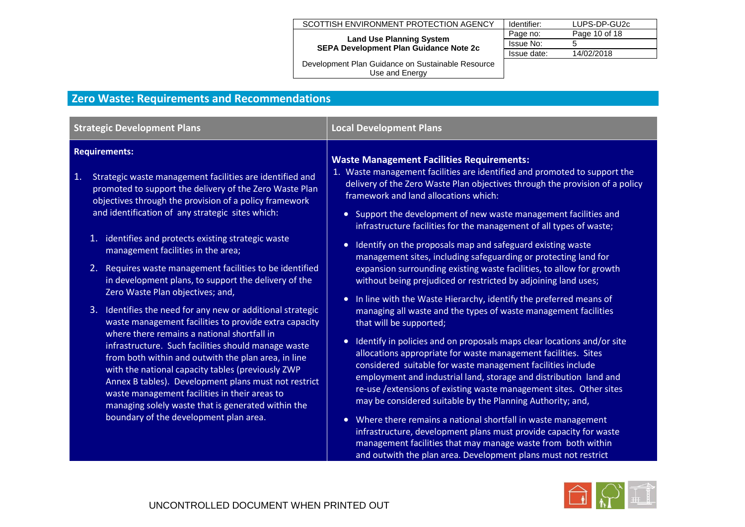# SCOTTISH ENVIRONMENT PROTECTION AGENCY | Identifier: LUPS-DP-GU2c<br>Page no: Page 10 of 18

#### **Land Use Planning S SEPA Development Plan G**

| g System<br>Guidance Note 2c | Page no:    | Page 10 of 18 |
|------------------------------|-------------|---------------|
|                              | Issue No:   |               |
|                              | Issue date: | 14/02/2018    |
| Suetainable Pecource         |             |               |

and outwith the plan area. Development plans must not restrict

Development Plan Guidance on Sustainable Resource Use and Energy

# **Zero Waste: Requirements and Recommendations**

| <b>Strategic Development Plans</b>                                                                                                                                                                                                                                                                                                                                                                                                                                                                                                                                                                                                                                                                                                                                                                                                                                                                                                                                                                                                                                     | <b>Local Development Plans</b>                                                                                                                                                                                                                                                                                                                                                                                                                                                                                                                                                                                                                                                                                                                                                                                                                                                                                                                                                                                                                                                                                                                                                                                                                                                                                                                                                                                                                                                                                     |  |
|------------------------------------------------------------------------------------------------------------------------------------------------------------------------------------------------------------------------------------------------------------------------------------------------------------------------------------------------------------------------------------------------------------------------------------------------------------------------------------------------------------------------------------------------------------------------------------------------------------------------------------------------------------------------------------------------------------------------------------------------------------------------------------------------------------------------------------------------------------------------------------------------------------------------------------------------------------------------------------------------------------------------------------------------------------------------|--------------------------------------------------------------------------------------------------------------------------------------------------------------------------------------------------------------------------------------------------------------------------------------------------------------------------------------------------------------------------------------------------------------------------------------------------------------------------------------------------------------------------------------------------------------------------------------------------------------------------------------------------------------------------------------------------------------------------------------------------------------------------------------------------------------------------------------------------------------------------------------------------------------------------------------------------------------------------------------------------------------------------------------------------------------------------------------------------------------------------------------------------------------------------------------------------------------------------------------------------------------------------------------------------------------------------------------------------------------------------------------------------------------------------------------------------------------------------------------------------------------------|--|
| <b>Requirements:</b><br>Strategic waste management facilities are identified and<br>1.<br>promoted to support the delivery of the Zero Waste Plan<br>objectives through the provision of a policy framework<br>and identification of any strategic sites which:<br>1. identifies and protects existing strategic waste<br>management facilities in the area;<br>2. Requires waste management facilities to be identified<br>in development plans, to support the delivery of the<br>Zero Waste Plan objectives; and,<br>3. Identifies the need for any new or additional strategic<br>waste management facilities to provide extra capacity<br>where there remains a national shortfall in<br>infrastructure. Such facilities should manage waste<br>from both within and outwith the plan area, in line<br>with the national capacity tables (previously ZWP<br>Annex B tables). Development plans must not restrict<br>waste management facilities in their areas to<br>managing solely waste that is generated within the<br>boundary of the development plan area. | <b>Waste Management Facilities Requirements:</b><br>1. Waste management facilities are identified and promoted to support the<br>delivery of the Zero Waste Plan objectives through the provision of a policy<br>framework and land allocations which:<br>• Support the development of new waste management facilities and<br>infrastructure facilities for the management of all types of waste;<br>Identify on the proposals map and safeguard existing waste<br>$\bullet$<br>management sites, including safeguarding or protecting land for<br>expansion surrounding existing waste facilities, to allow for growth<br>without being prejudiced or restricted by adjoining land uses;<br>In line with the Waste Hierarchy, identify the preferred means of<br>$\bullet$<br>managing all waste and the types of waste management facilities<br>that will be supported;<br>Identify in policies and on proposals maps clear locations and/or site<br>$\bullet$<br>allocations appropriate for waste management facilities. Sites<br>considered suitable for waste management facilities include<br>employment and industrial land, storage and distribution land and<br>re-use / extensions of existing waste management sites. Other sites<br>may be considered suitable by the Planning Authority; and,<br>• Where there remains a national shortfall in waste management<br>infrastructure, development plans must provide capacity for waste<br>management facilities that may manage waste from both within |  |

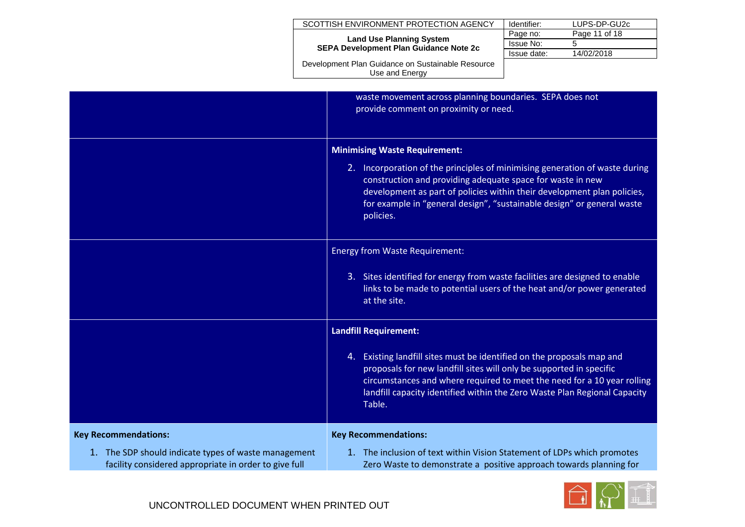| SCOTTISH ENVIRONMENT PROTECTION AGENCY                                           | Identifier: | LUPS-DP-GU2c  |
|----------------------------------------------------------------------------------|-------------|---------------|
| <b>Land Use Planning System</b><br><b>SEPA Development Plan Guidance Note 2c</b> | Page no:    | Page 11 of 18 |
|                                                                                  | Issue No:   | 5             |
|                                                                                  | Issue date: | 14/02/2018    |
|                                                                                  |             |               |

|                                                                                                                                              | waste movement across planning boundaries. SEPA does not<br>provide comment on proximity or need.                                                                                                                                                                                                                                                   |
|----------------------------------------------------------------------------------------------------------------------------------------------|-----------------------------------------------------------------------------------------------------------------------------------------------------------------------------------------------------------------------------------------------------------------------------------------------------------------------------------------------------|
|                                                                                                                                              | <b>Minimising Waste Requirement:</b><br>2. Incorporation of the principles of minimising generation of waste during<br>construction and providing adequate space for waste in new<br>development as part of policies within their development plan policies,<br>for example in "general design", "sustainable design" or general waste<br>policies. |
|                                                                                                                                              | <b>Energy from Waste Requirement:</b><br>3. Sites identified for energy from waste facilities are designed to enable<br>links to be made to potential users of the heat and/or power generated<br>at the site.                                                                                                                                      |
|                                                                                                                                              | <b>Landfill Requirement:</b><br>4. Existing landfill sites must be identified on the proposals map and<br>proposals for new landfill sites will only be supported in specific<br>circumstances and where required to meet the need for a 10 year rolling<br>landfill capacity identified within the Zero Waste Plan Regional Capacity<br>Table.     |
| <b>Key Recommendations:</b><br>1. The SDP should indicate types of waste management<br>facility considered appropriate in order to give full | <b>Key Recommendations:</b><br>1. The inclusion of text within Vision Statement of LDPs which promotes<br>Zero Waste to demonstrate a positive approach towards planning for                                                                                                                                                                        |

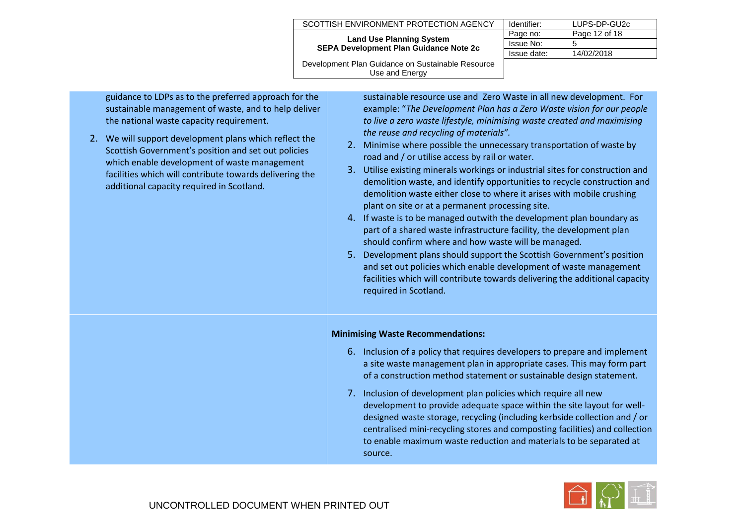| SCOTTISH ENVIRONMENT PROTECTION AGENCY                                           | Identifier: | LUPS-DP-GU2c  |
|----------------------------------------------------------------------------------|-------------|---------------|
| <b>Land Use Planning System</b><br><b>SEPA Development Plan Guidance Note 2c</b> | Page no:    | Page 12 of 18 |
|                                                                                  | Issue No:   |               |
|                                                                                  | Issue date: | 14/02/2018    |
| Development Plan Guidance on Sustainable Resource                                |             |               |

Use and Energy guidance to LDPs as to the preferred approach for the

sustainable resource use and Zero Waste in all new development. For example: "*The Development Plan has a Zero Waste vision for our people to live a zero waste lifestyle, minimising waste created and maximising the reuse and recycling of materials".*

- 2. Minimise where possible the unnecessary transportation of waste by road and / or utilise access by rail or water.
- 3. Utilise existing minerals workings or industrial sites for construction and demolition waste, and identify opportunities to recycle construction and demolition waste either close to where it arises with mobile crushing plant on site or at a permanent processing site.
- 4. If waste is to be managed outwith the development plan boundary as part of a shared waste infrastructure facility, the development plan should confirm where and how waste will be managed.
- 5. Development plans should support the Scottish Government's position and set out policies which enable development of waste management facilities which will contribute towards delivering the additional capacity required in Scotland.

## **Minimising Waste Recommendations:**

- 6. Inclusion of a policy that requires developers to prepare and implement a site waste management plan in appropriate cases. This may form part of a construction method statement or sustainable design statement.
- 7. Inclusion of development plan policies which require all new development to provide adequate space within the site layout for welldesigned waste storage, recycling (including kerbside collection and / or centralised mini-recycling stores and composting facilities) and collection to enable maximum waste reduction and materials to be separated at source.



sustainable management of waste, and to help deliver the national waste capacity requirement.

2. We will support development plans which reflect the Scottish Government's position and set out policies which enable development of waste management facilities which will contribute towards delivering the additional capacity required in Scotland.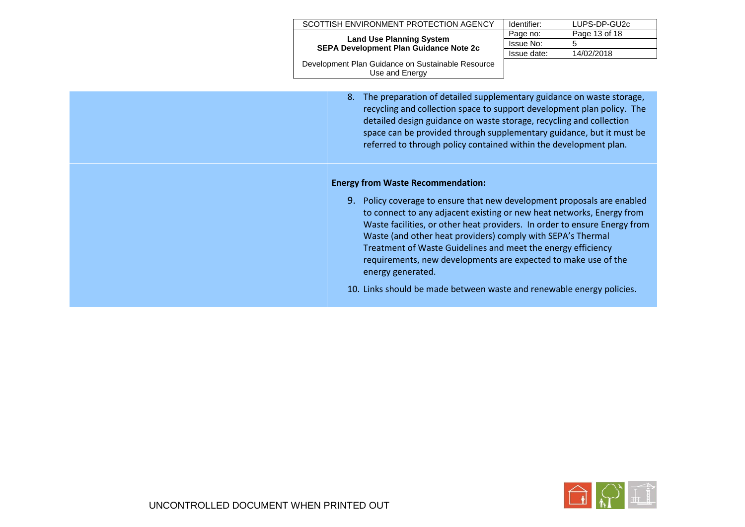| SCOTTISH ENVIRONMENT PROTECTION AGENCY                                           | Identifier: | LUPS-DP-GU2c  |  |
|----------------------------------------------------------------------------------|-------------|---------------|--|
| <b>Land Use Planning System</b><br><b>SEPA Development Plan Guidance Note 2c</b> | Page no:    | Page 13 of 18 |  |
|                                                                                  | Issue No:   |               |  |
|                                                                                  | Issue date: | 14/02/2018    |  |
| Development Plan Guidance on Sustainable Resource<br>Use and Energy              |             |               |  |

8. The preparation of detailed supplementary guidance on waste storage, recycling and collection space to support development plan policy. The detailed design guidance on waste storage, recycling and collection space can be provided through supplementary guidance, but it must be referred to through policy contained within the development plan.

## **Energy from Waste Recommendation:**

9. Policy coverage to ensure that new development proposals are enabled to connect to any adjacent existing or new heat networks, Energy from Waste facilities, or other heat providers. In order to ensure Energy from Waste (and other heat providers) comply with SEPA's Thermal Treatment of Waste Guidelines and meet the energy efficiency requirements, new developments are expected to make use of the energy generated.

10. Links should be made between waste and renewable energy policies.

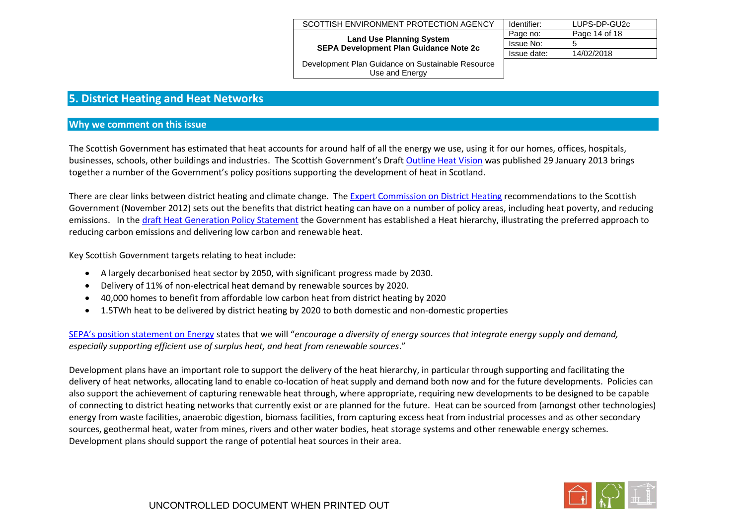| SCOTTISH ENVIRONMENT PROTECTION AGENCY                                           | Identifier: | LUPS-DP-GU2c  |
|----------------------------------------------------------------------------------|-------------|---------------|
| <b>Land Use Planning System</b><br><b>SEPA Development Plan Guidance Note 2c</b> | Page no:    | Page 14 of 18 |
|                                                                                  | Issue No:   |               |
|                                                                                  | Issue date: | 14/02/2018    |
| Dovelopment Plan Cuidense on Sustainable Pesqures                                |             |               |

## <span id="page-13-0"></span>**5. District Heating and Heat Networks**

#### **Why we comment on this issue**

The Scottish Government has estimated that heat accounts for around half of all the energy we use, using it for our homes, offices, hospitals, businesses, schools, other buildings and industries. The Scottish Government's Draft [Outline Heat Vision](http://www.scotland.gov.uk/Topics/Business-Industry/Energy/Energy-sources/19185/Heat/DraftHeatDeployment) was published 29 January 2013 brings together a number of the Government's policy positions supporting the development of heat in Scotland.

There are clear links between district heating and climate change. Th[e Expert Commission on District Heating](http://www.scotland.gov.uk/Resource/0040/00408383.pdf) recommendations to the Scottish Government (November 2012) sets out the benefits that district heating can have on a number of policy areas, including heat poverty, and reducing emissions. In th[e draft Heat Generation Policy Statement](http://www.scotland.gov.uk/Resource/0044/00445639.pdf) the Government has established a Heat hierarchy, illustrating the preferred approach to reducing carbon emissions and delivering low carbon and renewable heat.

Key Scottish Government targets relating to heat include:

- A largely decarbonised heat sector by 2050, with significant progress made by 2030.
- Delivery of 11% of non-electrical heat demand by renewable sources by 2020.
- 40,000 homes to benefit from affordable low carbon heat from district heating by 2020
- 1.5TWh heat to be delivered by district heating by 2020 to both domestic and non-domestic properties

[SEPA's position statement on Energy](http://www.sepa.org.uk/planning/idoc.ashx?docid=6807769c-ec2d-4ebc-b650-e5a46de66c6a&version=-1) states that we will "*encourage a diversity of energy sources that integrate energy supply and demand, especially supporting efficient use of surplus heat, and heat from renewable sources*."

Development plans have an important role to support the delivery of the heat hierarchy, in particular through supporting and facilitating the delivery of heat networks, allocating land to enable co-location of heat supply and demand both now and for the future developments. Policies can also support the achievement of capturing renewable heat through, where appropriate, requiring new developments to be designed to be capable of connecting to district heating networks that currently exist or are planned for the future. Heat can be sourced from (amongst other technologies) energy from waste facilities, anaerobic digestion, biomass facilities, from capturing excess heat from industrial processes and as other secondary sources, geothermal heat, water from mines, rivers and other water bodies, heat storage systems and other renewable energy schemes. Development plans should support the range of potential heat sources in their area.

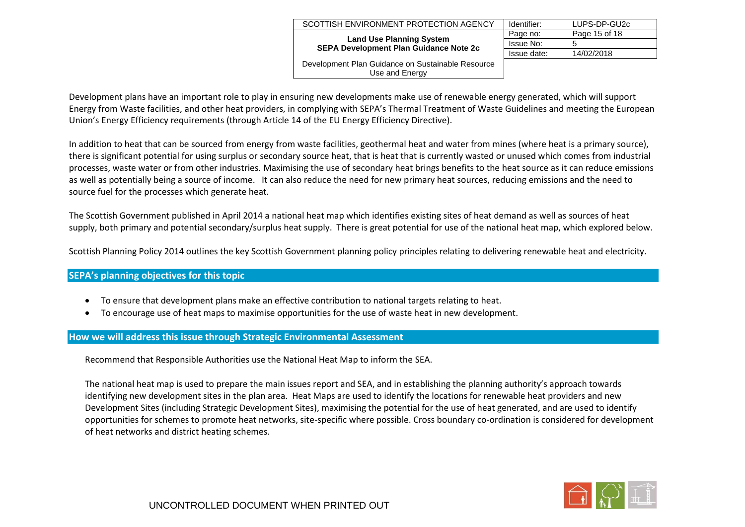|                                                                                                                            | Identifier: | LUPS-DP-GU2c  |
|----------------------------------------------------------------------------------------------------------------------------|-------------|---------------|
| SCOTTISH ENVIRONMENT PROTECTION AGENCY<br><b>Land Use Planning System</b><br><b>SEPA Development Plan Guidance Note 2c</b> | Page no:    | Page 15 of 18 |
|                                                                                                                            | Issue No:   | 5             |
|                                                                                                                            | Issue date: | 14/02/2018    |
| Development Plan Guidance on Sustainable Resource<br>Use and Energy                                                        |             |               |

Development plans have an important role to play in ensuring new developments make use of renewable energy generated, which will support Energy from Waste facilities, and other heat providers, in complying with SEPA's Thermal Treatment of Waste Guidelines and meeting the European Union's Energy Efficiency requirements (through Article 14 of the EU Energy Efficiency Directive).

In addition to heat that can be sourced from energy from waste facilities, geothermal heat and water from mines (where heat is a primary source), there is significant potential for using surplus or secondary source heat, that is heat that is currently wasted or unused which comes from industrial processes, waste water or from other industries. Maximising the use of secondary heat brings benefits to the heat source as it can reduce emissions as well as potentially being a source of income. It can also reduce the need for new primary heat sources, reducing emissions and the need to source fuel for the processes which generate heat.

The Scottish Government published in April 2014 a national heat map which identifies existing sites of heat demand as well as sources of heat supply, both primary and potential secondary/surplus heat supply. There is great potential for use of the national heat map, which explored below.

Scottish Planning Policy 2014 outlines the key Scottish Government planning policy principles relating to delivering renewable heat and electricity.

## **SEPA's planning objectives for this topic**

- To ensure that development plans make an effective contribution to national targets relating to heat.
- To encourage use of heat maps to maximise opportunities for the use of waste heat in new development.

## **How we will address this issue through Strategic Environmental Assessment**

Recommend that Responsible Authorities use the National Heat Map to inform the SEA.

The national heat map is used to prepare the main issues report and SEA, and in establishing the planning authority's approach towards identifying new development sites in the plan area. Heat Maps are used to identify the locations for renewable heat providers and new Development Sites (including Strategic Development Sites), maximising the potential for the use of heat generated, and are used to identify opportunities for schemes to promote heat networks, site-specific where possible. Cross boundary co-ordination is considered for development of heat networks and district heating schemes.

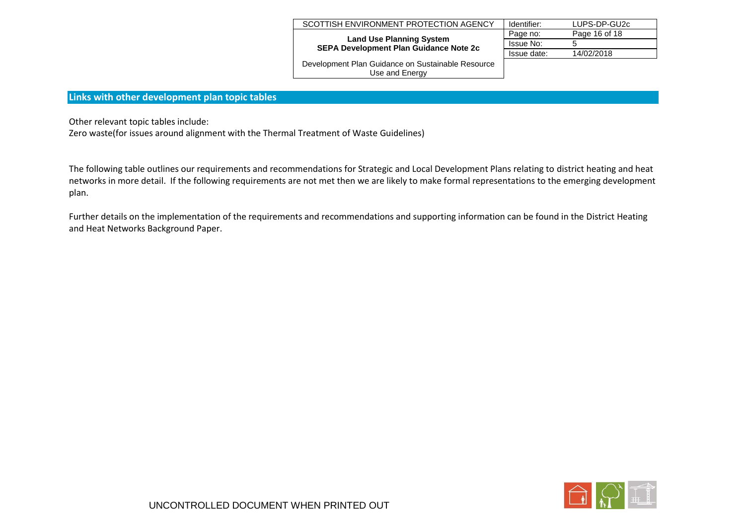| SCOTTISH ENVIRONMENT PROTECTION AGENCY                                           | Identifier: | LUPS-DP-GU2c  |
|----------------------------------------------------------------------------------|-------------|---------------|
| <b>Land Use Planning System</b><br><b>SEPA Development Plan Guidance Note 2c</b> | Page no:    | Page 16 of 18 |
|                                                                                  | Issue No:   | b             |
|                                                                                  | Issue date: | 14/02/2018    |
| Development Plan Guidance on Sustainable Resource                                |             |               |

## **Links with other development plan topic tables**

Other relevant topic tables include:

Zero waste(for issues around alignment with the Thermal Treatment of Waste Guidelines)

The following table outlines our requirements and recommendations for Strategic and Local Development Plans relating to district heating and heat networks in more detail. If the following requirements are not met then we are likely to make formal representations to the emerging development plan.

Further details on the implementation of the requirements and recommendations and supporting information can be found in the District Heating and Heat Networks Background Paper.

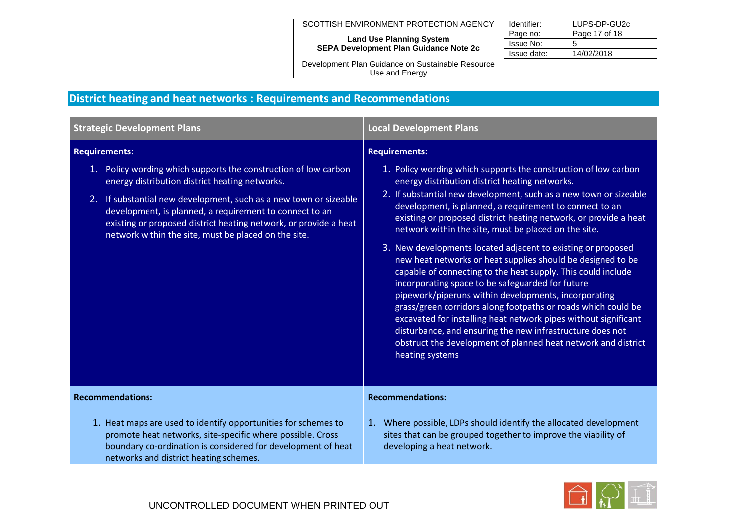#### SCOTTISH ENVIRONMENT PROTECTION AGENCY

**Land Use Planning System SEPA Development Plan Guidance Note 2c**

| Identifier: | LUPS-DP-GU2c  |
|-------------|---------------|
| Page no:    | Page 17 of 18 |
| Issue No:   | :5            |
| Issue date: | 14/02/2018    |
|             |               |

Development Plan Guidance on Sustainable Resource Use and Energy

# **District heating and heat networks : Requirements and Recommendations**

| <b>Strategic Development Plans</b>                                                                                                                                                                                                                                                                                                                                                                    | <b>Local Development Plans</b>                                                                                                                                                                                                                                                                                                                                                                                                                                                                                                                                                                                                                                                                                                                                                                                                                                                                                                                                                                        |  |
|-------------------------------------------------------------------------------------------------------------------------------------------------------------------------------------------------------------------------------------------------------------------------------------------------------------------------------------------------------------------------------------------------------|-------------------------------------------------------------------------------------------------------------------------------------------------------------------------------------------------------------------------------------------------------------------------------------------------------------------------------------------------------------------------------------------------------------------------------------------------------------------------------------------------------------------------------------------------------------------------------------------------------------------------------------------------------------------------------------------------------------------------------------------------------------------------------------------------------------------------------------------------------------------------------------------------------------------------------------------------------------------------------------------------------|--|
| <b>Requirements:</b><br>1. Policy wording which supports the construction of low carbon<br>energy distribution district heating networks.<br>2. If substantial new development, such as a new town or sizeable<br>development, is planned, a requirement to connect to an<br>existing or proposed district heating network, or provide a heat<br>network within the site, must be placed on the site. | <b>Requirements:</b><br>1. Policy wording which supports the construction of low carbon<br>energy distribution district heating networks.<br>2. If substantial new development, such as a new town or sizeable<br>development, is planned, a requirement to connect to an<br>existing or proposed district heating network, or provide a heat<br>network within the site, must be placed on the site.<br>3. New developments located adjacent to existing or proposed<br>new heat networks or heat supplies should be designed to be<br>capable of connecting to the heat supply. This could include<br>incorporating space to be safeguarded for future<br>pipework/piperuns within developments, incorporating<br>grass/green corridors along footpaths or roads which could be<br>excavated for installing heat network pipes without significant<br>disturbance, and ensuring the new infrastructure does not<br>obstruct the development of planned heat network and district<br>heating systems |  |
| <b>Recommendations:</b>                                                                                                                                                                                                                                                                                                                                                                               | <b>Recommendations:</b>                                                                                                                                                                                                                                                                                                                                                                                                                                                                                                                                                                                                                                                                                                                                                                                                                                                                                                                                                                               |  |
| 1. Heat maps are used to identify opportunities for schemes to<br>promote heat networks, site-specific where possible. Cross<br>boundary co-ordination is considered for development of heat<br>networks and district heating schemes.                                                                                                                                                                | 1. Where possible, LDPs should identify the allocated development<br>sites that can be grouped together to improve the viability of<br>developing a heat network.                                                                                                                                                                                                                                                                                                                                                                                                                                                                                                                                                                                                                                                                                                                                                                                                                                     |  |